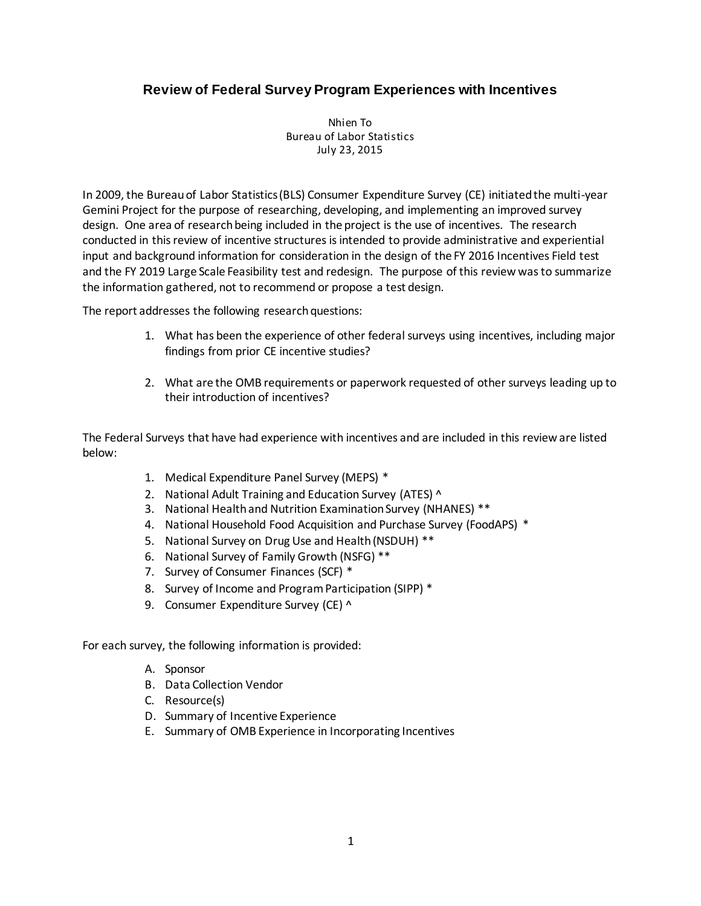# **Review of Federal Survey Program Experiences with Incentives**

Nhien To Bureau of Labor Statistics July 23, 2015

In 2009, the Bureau of Labor Statistics (BLS) Consumer Expenditure Survey (CE) initiated the multi-year Gemini Project for the purpose of researching, developing, and implementing an improved survey design. One area of research being included in the project is the use of incentives. The research conducted in this review of incentive structures is intended to provide administrative and experiential input and background information for consideration in the design of the FY 2016 Incentives Field test and the FY 2019 Large Scale Feasibility test and redesign. The purpose of this review was to summarize the information gathered, not to recommend or propose a test design.

The report addresses the following research questions:

- 1. What has been the experience of other federal surveys using incentives, including major findings from prior CE incentive studies?
- 2. What are the OMB requirements or paperwork requested of other surveys leading up to their introduction of incentives?

The Federal Surveys that have had experience with incentives and are included in this review are listed below:

- 1. Medical Expenditure Panel Survey (MEPS) \*
- 2. National Adult Training and Education Survey (ATES) ^
- 3. National Health and Nutrition Examination Survey (NHANES) \*\*
- 4. National Household Food Acquisition and Purchase Survey (FoodAPS) \*
- 5. National Survey on Drug Use and Health (NSDUH) \*\*
- 6. National Survey of Family Growth (NSFG) \*\*
- 7. Survey of Consumer Finances (SCF) \*
- 8. Survey of Income and Program Participation (SIPP) \*
- 9. Consumer Expenditure Survey (CE) ^

For each survey, the following information is provided:

- A. Sponsor
- B. Data Collection Vendor
- C. Resource(s)
- D. Summary of Incentive Experience
- E. Summary of OMB Experience in Incorporating Incentives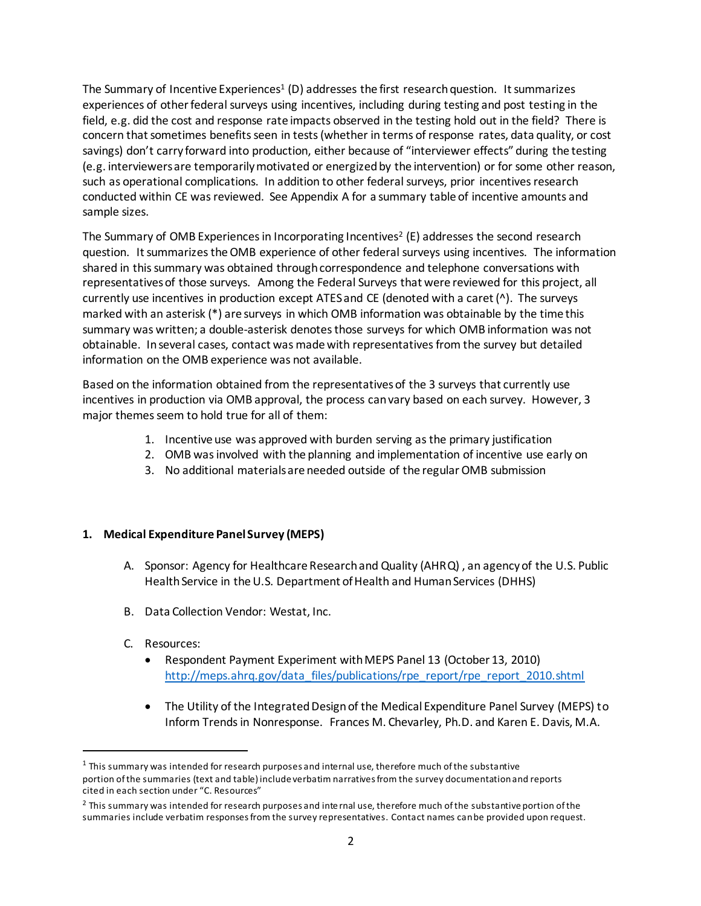The Summary of Incentive Experiences<sup>1</sup> (D) addresses the first research question. It summarizes experiences of other federal surveys using incentives, including during testing and post testing in the field, e.g. did the cost and response rate impacts observed in the testing hold out in the field? There is concern that sometimes benefits seen in tests (whether in terms of response rates, data quality, or cost savings) don't carry forward into production, either because of "interviewer effects" during the testing (e.g. interviewers are temporarily motivated or energized by the intervention) or for some other reason, such as operational complications. In addition to other federal surveys, prior incentives research conducted within CE was reviewed. See Appendix A for a summary table of incentive amounts and sample sizes.

The Summary of OMB Experiences in Incorporating Incentives<sup>2</sup> (E) addresses the second research question. It summarizes the OMB experience of other federal surveys using incentives. The information shared in this summary was obtained through correspondence and telephone conversations with representatives of those surveys. Among the Federal Surveys that were reviewed for this project, all currently use incentives in production except ATES and CE (denoted with a caret (^). The surveys marked with an asterisk (\*) are surveys in which OMB information was obtainable by the time this summary was written; a double-asterisk denotes those surveys for which OMB information was not obtainable. In several cases, contact was made with representatives from the survey but detailed information on the OMB experience was not available.

Based on the information obtained from the representatives of the 3 surveys that currently use incentives in production via OMB approval, the process can vary based on each survey. However, 3 major themes seem to hold true for all of them:

- 1. Incentive use was approved with burden serving asthe primary justification
- 2. OMB was involved with the planning and implementation of incentive use early on
- 3. No additional materials are needed outside of the regular OMB submission

### **1. Medical Expenditure Panel Survey (MEPS)**

- A. Sponsor: Agency for Healthcare Research and Quality (AHRQ) , an agency of the U.S. Public Health Service in the U.S. Department of Health and Human Services (DHHS)
- B. Data Collection Vendor: Westat, Inc.
- C. Resources:

1

- Respondent Payment Experiment with MEPS Panel 13 (October 13, 2010) [http://meps.ahrq.gov/data\\_files/publications/rpe\\_report/rpe\\_report\\_2010.shtml](http://meps.ahrq.gov/data_files/publications/rpe_report/rpe_report_2010.shtml)
- The Utility of the Integrated Design of the Medical Expenditure Panel Survey (MEPS) to Inform Trends in Nonresponse. Frances M. Chevarley, Ph.D. and Karen E. Davis, M.A.

 $1$  This summary was intended for research purposes and internal use, therefore much of the substantive portion of the summaries (text and table) include verbatim narratives from the survey documentation and reports cited in each section under "C. Resources"

<sup>&</sup>lt;sup>2</sup> This summary was intended for research purposes and internal use, therefore much of the substantive portion of the summaries include verbatim responsesfrom the survey representatives. Contact names can be provided upon request.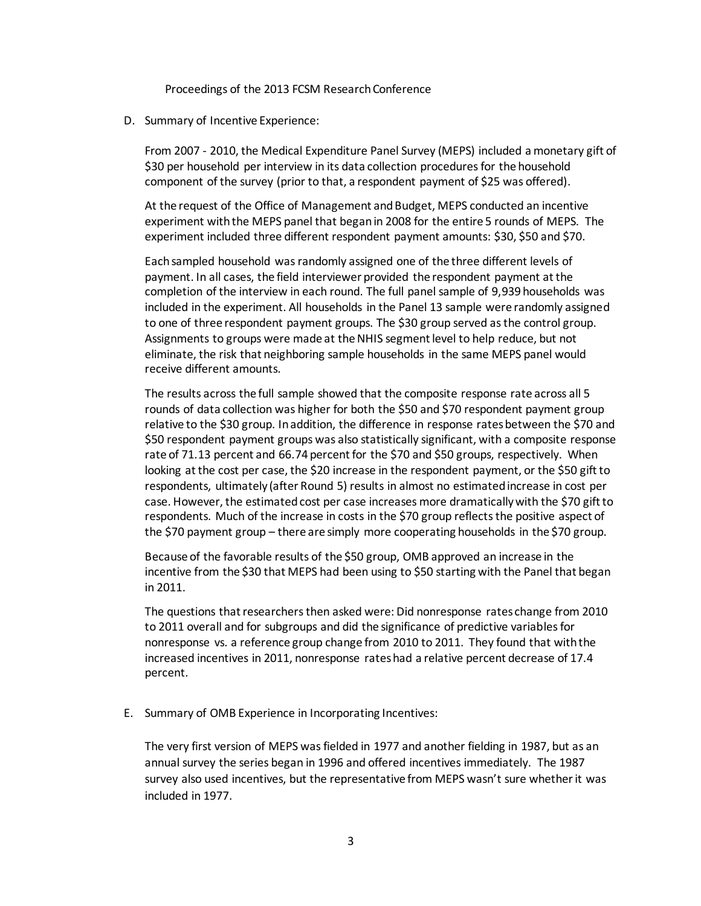Proceedings of the 2013 FCSM Research Conference

D. Summary of Incentive Experience:

From 2007 - 2010, the Medical Expenditure Panel Survey (MEPS) included a monetary gift of \$30 per household per interview in its data collection procedures for the household component of the survey (prior to that, a respondent payment of \$25 was offered).

At the request of the Office of Management and Budget, MEPS conducted an incentive experiment with the MEPS panel that began in 2008 for the entire 5 rounds of MEPS. The experiment included three different respondent payment amounts: \$30, \$50 and \$70.

Each sampled household was randomly assigned one of the three different levels of payment. In all cases, the field interviewer provided the respondent payment at the completion of the interview in each round. The full panel sample of 9,939 households was included in the experiment. All households in the Panel 13 sample were randomly assigned to one of three respondent payment groups. The \$30 group served as the control group. Assignments to groups were made at the NHIS segment level to help reduce, but not eliminate, the risk that neighboring sample households in the same MEPS panel would receive different amounts.

The results across the full sample showed that the composite response rate across all 5 rounds of data collection was higher for both the \$50 and \$70 respondent payment group relative to the \$30 group. In addition, the difference in response rates between the \$70 and \$50 respondent payment groups was also statistically significant, with a composite response rate of 71.13 percent and 66.74 percent for the \$70 and \$50 groups, respectively. When looking at the cost per case, the \$20 increase in the respondent payment, or the \$50 gift to respondents, ultimately (after Round 5) results in almost no estimated increase in cost per case. However, the estimated cost per case increases more dramatically with the \$70 gift to respondents. Much of the increase in costs in the \$70 group reflects the positive aspect of the \$70 payment group – there are simply more cooperating households in the \$70 group.

Because of the favorable results of the \$50 group, OMB approved an increase in the incentive from the \$30 that MEPS had been using to \$50 starting with the Panel that began in 2011.

The questions that researchers then asked were: Did nonresponse rates change from 2010 to 2011 overall and for subgroups and did the significance of predictive variables for nonresponse vs. a reference group change from 2010 to 2011. They found that with the increased incentives in 2011, nonresponse rates had a relative percent decrease of 17.4 percent.

E. Summary of OMB Experience in Incorporating Incentives:

The very first version of MEPS was fielded in 1977 and another fielding in 1987, but as an annual survey the series began in 1996 and offered incentives immediately. The 1987 survey also used incentives, but the representative from MEPS wasn't sure whether it was included in 1977.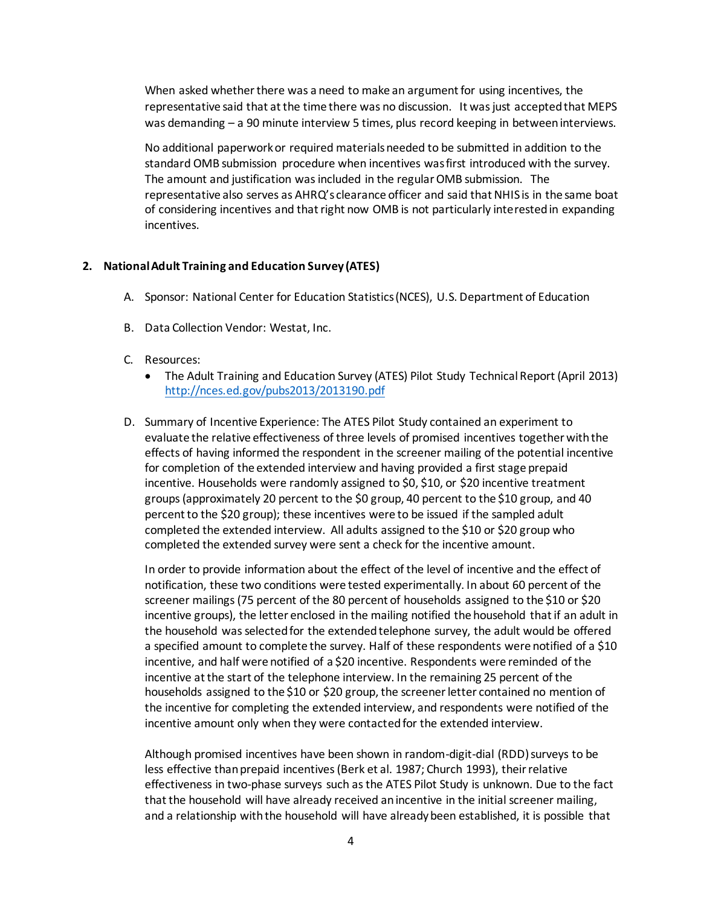When asked whether there was a need to make an argument for using incentives, the representative said that at the time there was no discussion. It was just accepted that MEPS was demanding – a 90 minute interview 5 times, plus record keeping in between interviews.

No additional paperwork or required materials needed to be submitted in addition to the standard OMB submission procedure when incentives was first introduced with the survey. The amount and justification was included in the regular OMB submission. The representative also serves as AHRQ's clearance officer and said that NHIS is in the same boat of considering incentives and that right now OMB is not particularly interested in expanding incentives.

#### **2. National Adult Training and Education Survey (ATES)**

- A. Sponsor: National Center for Education Statistics (NCES), U.S. Department of Education
- B. Data Collection Vendor: Westat, Inc.
- C. Resources:
	- The Adult Training and Education Survey (ATES) Pilot Study Technical Report (April 2013) <http://nces.ed.gov/pubs2013/2013190.pdf>
- D. Summary of Incentive Experience: The ATES Pilot Study contained an experiment to evaluate the relative effectiveness of three levels of promised incentives together with the effects of having informed the respondent in the screener mailing of the potential incentive for completion of the extended interview and having provided a first stage prepaid incentive. Households were randomly assigned to \$0, \$10, or \$20 incentive treatment groups (approximately 20 percent to the \$0 group, 40 percent to the \$10 group, and 40 percent to the \$20 group); these incentives were to be issued if the sampled adult completed the extended interview. All adults assigned to the \$10 or \$20 group who completed the extended survey were sent a check for the incentive amount.

In order to provide information about the effect of the level of incentive and the effect of notification, these two conditions were tested experimentally. In about 60 percent of the screener mailings (75 percent of the 80 percent of households assigned to the \$10 or \$20 incentive groups), the letter enclosed in the mailing notified the household that if an adult in the household was selected for the extended telephone survey, the adult would be offered a specified amount to complete the survey. Half of these respondents were notified of a \$10 incentive, and half were notified of a \$20 incentive. Respondents were reminded of the incentive at the start of the telephone interview. In the remaining 25 percent of the households assigned to the \$10 or \$20 group, the screener letter contained no mention of the incentive for completing the extended interview, and respondents were notified of the incentive amount only when they were contacted for the extended interview.

Although promised incentives have been shown in random-digit-dial (RDD) surveys to be less effective than prepaid incentives (Berk et al. 1987; Church 1993), their relative effectiveness in two-phase surveys such as the ATES Pilot Study is unknown. Due to the fact that the household will have already received an incentive in the initial screener mailing, and a relationship with the household will have already been established, it is possible that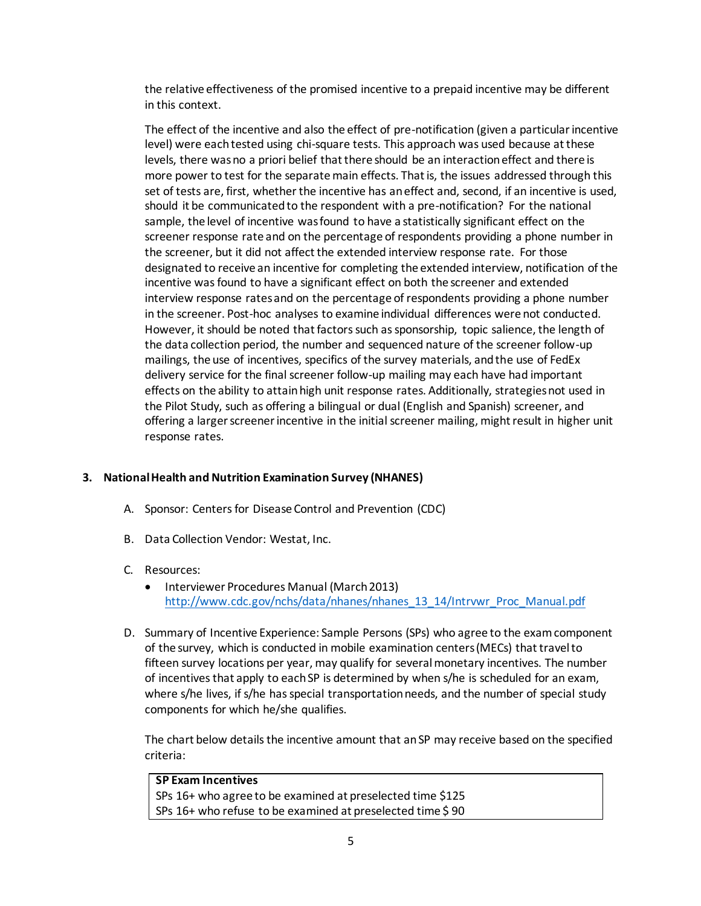the relative effectiveness of the promised incentive to a prepaid incentive may be different in this context.

The effect of the incentive and also the effect of pre-notification (given a particular incentive level) were each tested using chi-square tests. This approach was used because at these levels, there was no a priori belief that there should be an interaction effect and there is more power to test for the separate main effects. That is, the issues addressed through this set of tests are, first, whether the incentive has an effect and, second, if an incentive is used, should it be communicated to the respondent with a pre-notification? For the national sample, the level of incentive was found to have a statistically significant effect on the screener response rate and on the percentage of respondents providing a phone number in the screener, but it did not affect the extended interview response rate. For those designated to receive an incentive for completing the extended interview, notification of the incentive was found to have a significant effect on both the screener and extended interview response rates and on the percentage of respondents providing a phone number in the screener. Post-hoc analyses to examine individual differences were not conducted. However, it should be noted that factors such as sponsorship, topic salience, the length of the data collection period, the number and sequenced nature of the screener follow-up mailings, the use of incentives, specifics of the survey materials, and the use of FedEx delivery service for the final screener follow-up mailing may each have had important effects on the ability to attain high unit response rates. Additionally, strategies not used in the Pilot Study, such as offering a bilingual or dual (English and Spanish) screener, and offering a larger screener incentive in the initial screener mailing, might result in higher unit response rates.

### **3. National Health and Nutrition Examination Survey (NHANES)**

- A. Sponsor: Centers for Disease Control and Prevention (CDC)
- B. Data Collection Vendor: Westat, Inc.

### C. Resources:

- Interviewer Procedures Manual (March 2013) [http://www.cdc.gov/nchs/data/nhanes/nhanes\\_13\\_14/Intrvwr\\_Proc\\_Manual.pdf](http://www.cdc.gov/nchs/data/nhanes/nhanes_13_14/Intrvwr_Proc_Manual.pdf)
- D. Summary of Incentive Experience: Sample Persons (SPs) who agree to the exam component of the survey, which is conducted in mobile examination centers (MECs) that travel to fifteen survey locations per year, may qualify for several monetary incentives. The number of incentives that apply to each SP is determined by when s/he is scheduled for an exam, where s/he lives, if s/he has special transportation needs, and the number of special study components for which he/she qualifies.

The chart below details the incentive amount that an SP may receive based on the specified criteria:

# **SP Exam Incentives**  SPs 16+ who agree to be examined at preselected time \$125 SPs 16+ who refuse to be examined at preselected time \$ 90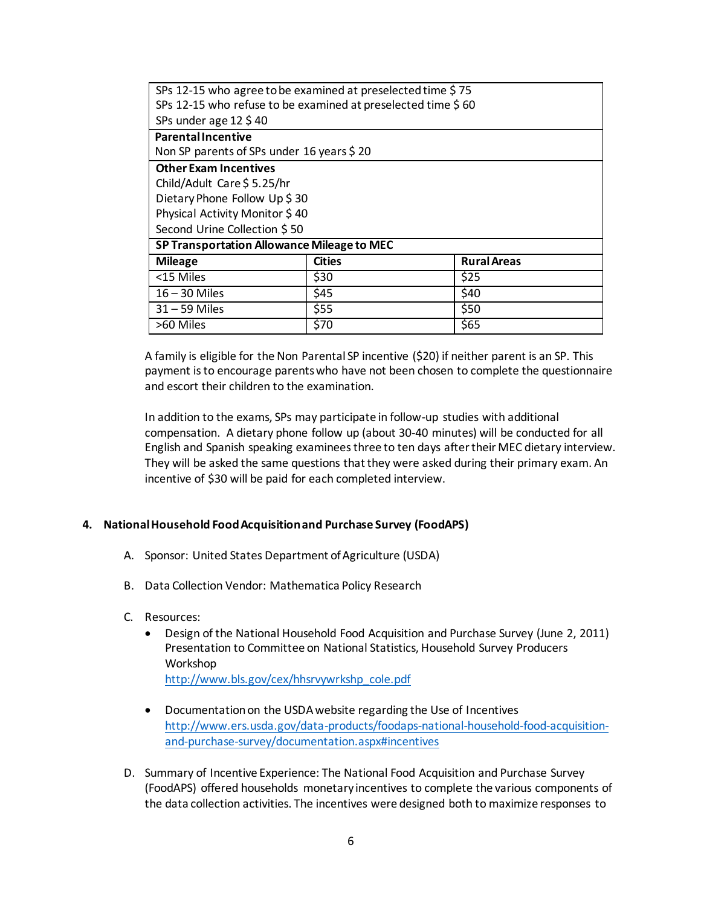| SPs 12-15 who agree to be examined at preselected time \$75<br>SPs 12-15 who refuse to be examined at preselected time \$60 |                                |                    |  |  |
|-----------------------------------------------------------------------------------------------------------------------------|--------------------------------|--------------------|--|--|
| SPs under age $12 \text{ } 540$                                                                                             |                                |                    |  |  |
| <b>Parental Incentive</b>                                                                                                   |                                |                    |  |  |
| Non SP parents of SPs under 16 years \$20                                                                                   |                                |                    |  |  |
| <b>Other Exam Incentives</b>                                                                                                |                                |                    |  |  |
| Child/Adult Care \$5.25/hr                                                                                                  |                                |                    |  |  |
| Dietary Phone Follow Up \$30                                                                                                |                                |                    |  |  |
|                                                                                                                             | Physical Activity Monitor \$40 |                    |  |  |
| Second Urine Collection \$50                                                                                                |                                |                    |  |  |
| SP Transportation Allowance Mileage to MEC                                                                                  |                                |                    |  |  |
| <b>Mileage</b>                                                                                                              | <b>Cities</b>                  | <b>Rural Areas</b> |  |  |
| <15 Miles                                                                                                                   | \$30                           | \$25               |  |  |
| $16 - 30$ Miles                                                                                                             | \$45                           | \$40               |  |  |
| $31 - 59$ Miles                                                                                                             | \$55                           | \$50               |  |  |
| >60 Miles                                                                                                                   | \$70                           | \$65               |  |  |

A family is eligible for the Non Parental SP incentive (\$20) if neither parent is an SP. This payment is to encourage parents who have not been chosen to complete the questionnaire and escort their children to the examination.

In addition to the exams, SPs may participate in follow-up studies with additional compensation. A dietary phone follow up (about 30-40 minutes) will be conducted for all English and Spanish speaking examinees three to ten days after their MEC dietary interview. They will be asked the same questions that they were asked during their primary exam. An incentive of \$30 will be paid for each completed interview.

#### **4. National Household Food Acquisition and Purchase Survey (FoodAPS)**

- A. Sponsor: United States Department of Agriculture (USDA)
- B. Data Collection Vendor: Mathematica Policy Research
- C. Resources:
	- Design of the National Household Food Acquisition and Purchase Survey (June 2, 2011) Presentation to Committee on National Statistics, Household Survey Producers Workshop [http://www.bls.gov/cex/hhsrvywrkshp\\_cole.pdf](http://www.bls.gov/cex/hhsrvywrkshp_cole.pdf)
	- Documentation on the USDA website regarding the Use of Incentives [http://www.ers.usda.gov/data-products/foodaps-national-household-food-acquisition](http://www.ers.usda.gov/data-products/foodaps-national-household-food-acquisition-and-purchase-survey/documentation.aspx#incentives)[and-purchase-survey/documentation.aspx#incentives](http://www.ers.usda.gov/data-products/foodaps-national-household-food-acquisition-and-purchase-survey/documentation.aspx#incentives)
- D. Summary of Incentive Experience: The National Food Acquisition and Purchase Survey (FoodAPS) offered households monetary incentives to complete the various components of the data collection activities. The incentives were designed both to maximize responses to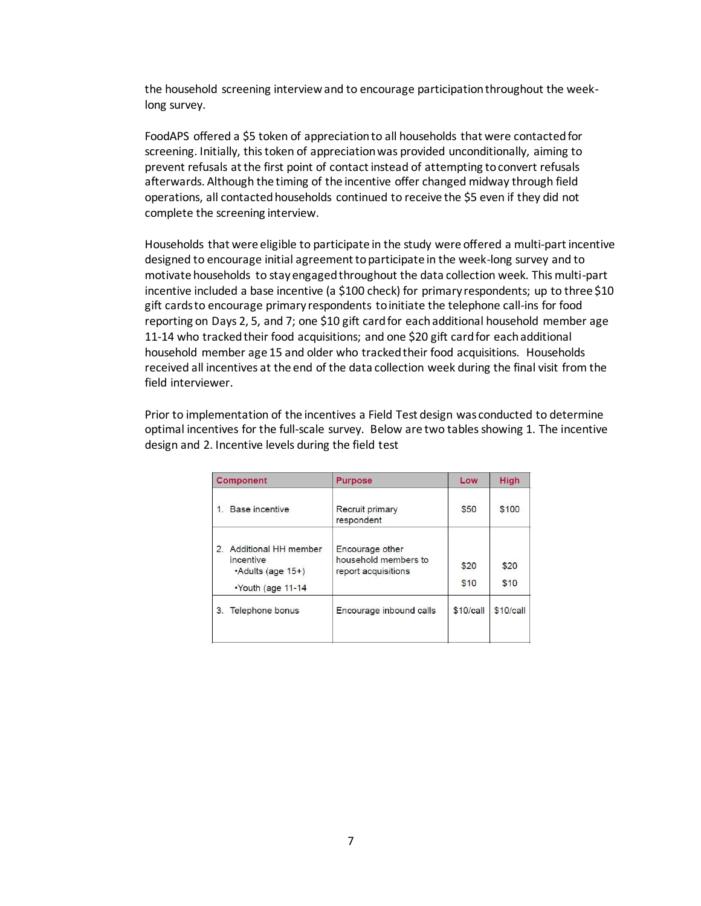the household screening interview and to encourage participation throughout the weeklong survey.

FoodAPS offered a \$5 token of appreciation to all households that were contacted for screening. Initially, this token of appreciation was provided unconditionally, aiming to prevent refusals at the first point of contact instead of attempting to convert refusals afterwards. Although the timing of the incentive offer changed midway through field operations, all contacted households continued to receive the \$5 even if they did not complete the screening interview.

Households that were eligible to participate in the study were offered a multi-part incentive designed to encourage initial agreement to participate in the week-long survey and to motivate households to stay engaged throughout the data collection week. This multi-part incentive included a base incentive (a \$100 check) for primary respondents; up to three \$10 gift cards to encourage primary respondents to initiate the telephone call-ins for food reporting on Days 2, 5, and 7; one \$10 gift card for each additional household member age 11-14 who tracked their food acquisitions; and one \$20 gift card for each additional household member age 15 and older who tracked their food acquisitions. Households received all incentives at the end of the data collection week during the final visit from the field interviewer.

Prior to implementation of the incentives a Field Test design was conducted to determine optimal incentives for the full-scale survey. Below are two tables showing 1. The incentive design and 2. Incentive levels during the field test

| Component                                                                                               | <b>Purpose</b>                                                 | Low          | High         |
|---------------------------------------------------------------------------------------------------------|----------------------------------------------------------------|--------------|--------------|
| Base incentive<br>1 <sup>1</sup>                                                                        | Recruit primary<br>respondent                                  | \$50         | \$100        |
| <b>Additional HH member</b><br>2.<br>incentive<br>$\cdot$ Adults (age 15+)<br>$\cdot$ Youth (age 11-14) | Encourage other<br>household members to<br>report acquisitions | \$20<br>\$10 | \$20<br>\$10 |
| Telephone bonus<br>3 <sup>1</sup>                                                                       | Encourage inbound calls                                        | \$10/call    | \$10/call    |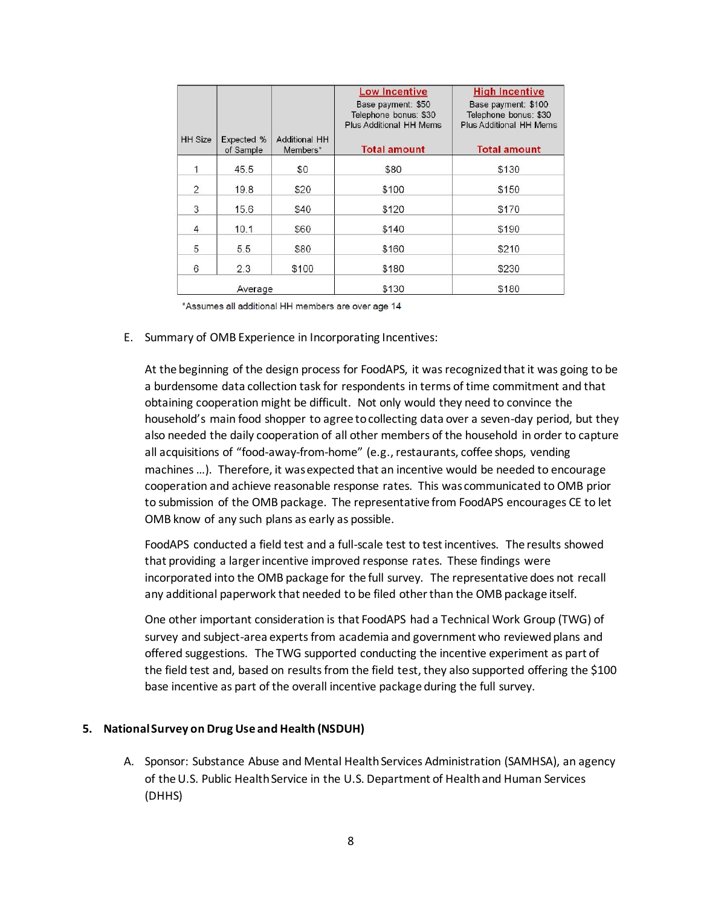| <b>HH</b> Size | Expected %<br>of Sample | <b>Additional HH</b><br>Members* | <b>Low Incentive</b><br>Base payment: \$50<br>Telephone bonus: \$30<br>Plus Additional HH Mems<br><b>Total amount</b> | <b>High Incentive</b><br>Base payment: \$100<br>Telephone bonus: \$30<br>Plus Additional HH Mems<br><b>Total amount</b> |
|----------------|-------------------------|----------------------------------|-----------------------------------------------------------------------------------------------------------------------|-------------------------------------------------------------------------------------------------------------------------|
| 1              | 45.5                    | \$0                              | \$80                                                                                                                  | \$130                                                                                                                   |
| 2              | 19.8                    | \$20                             | \$100                                                                                                                 | \$150                                                                                                                   |
| 3              | 15.6                    | \$40                             | \$120                                                                                                                 | \$170                                                                                                                   |
| $\overline{4}$ | 10.1                    | \$60                             | \$140                                                                                                                 | \$190                                                                                                                   |
| 5              | 5.5                     | \$80                             | \$160                                                                                                                 | \$210                                                                                                                   |
| 6              | 2.3                     | \$100                            | \$180                                                                                                                 | \$230                                                                                                                   |
|                | Average                 |                                  | \$130                                                                                                                 | \$180                                                                                                                   |

\*Assumes all additional HH members are over age 14

E. Summary of OMB Experience in Incorporating Incentives:

At the beginning of the design process for FoodAPS, it was recognized that it was going to be a burdensome data collection task for respondents in terms of time commitment and that obtaining cooperation might be difficult. Not only would they need to convince the household's main food shopper to agree to collecting data over a seven-day period, but they also needed the daily cooperation of all other members of the household in order to capture all acquisitions of "food-away-from-home" (e.g., restaurants, coffee shops, vending machines …). Therefore, it was expected that an incentive would be needed to encourage cooperation and achieve reasonable response rates. This was communicated to OMB prior to submission of the OMB package. The representative from FoodAPS encourages CE to let OMB know of any such plans as early as possible.

FoodAPS conducted a field test and a full-scale test to test incentives. The results showed that providing a larger incentive improved response rates. These findings were incorporated into the OMB package for the full survey. The representative does not recall any additional paperwork that needed to be filed other than the OMB package itself.

One other important consideration is that FoodAPS had a Technical Work Group (TWG) of survey and subject-area experts from academia and government who reviewed plans and offered suggestions. The TWG supported conducting the incentive experiment as part of the field test and, based on results from the field test, they also supported offering the \$100 base incentive as part of the overall incentive package during the full survey.

#### **5. National Survey on Drug Use and Health (NSDUH)**

A. Sponsor: Substance Abuse and Mental Health Services Administration (SAMHSA), an agency of the U.S. Public Health Service in the U.S. Department of Health and Human Services (DHHS)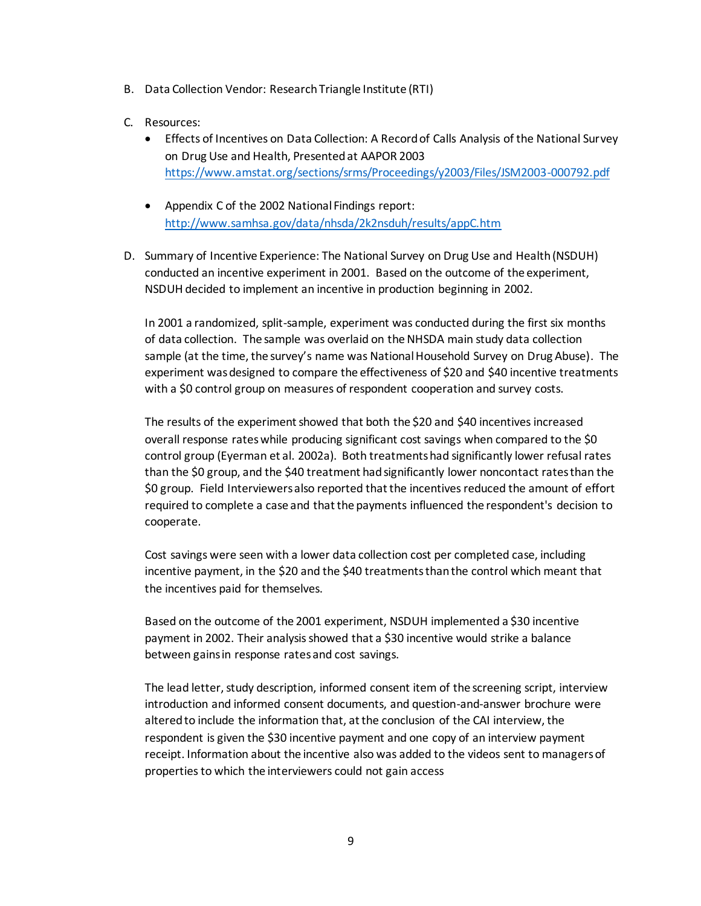- B. Data Collection Vendor: Research Triangle Institute (RTI)
- C. Resources:
	- Effects of Incentives on Data Collection: A Record of Calls Analysis of the National Survey on Drug Use and Health, Presented at AAPOR 2003 <https://www.amstat.org/sections/srms/Proceedings/y2003/Files/JSM2003-000792.pdf>
	- Appendix C of the 2002 National Findings report: <http://www.samhsa.gov/data/nhsda/2k2nsduh/results/appC.htm>
- D. Summary of Incentive Experience: The National Survey on Drug Use and Health (NSDUH) conducted an incentive experiment in 2001. Based on the outcome of the experiment, NSDUH decided to implement an incentive in production beginning in 2002.

In 2001 a randomized, split-sample, experiment was conducted during the first six months of data collection. The sample was overlaid on the NHSDA main study data collection sample (at the time, the survey's name was National Household Survey on Drug Abuse). The experiment was designed to compare the effectiveness of \$20 and \$40 incentive treatments with a \$0 control group on measures of respondent cooperation and survey costs.

The results of the experiment showed that both the \$20 and \$40 incentives increased overall response rates while producing significant cost savings when compared to the \$0 control group (Eyerman et al. 2002a). Both treatments had significantly lower refusal rates than the \$0 group, and the \$40 treatment had significantly lower noncontact rates than the \$0 group. Field Interviewersalso reported that the incentives reduced the amount of effort required to complete a case and that the payments influenced the respondent's decision to cooperate.

Cost savings were seen with a lower data collection cost per completed case, including incentive payment, in the \$20 and the \$40 treatments than the control which meant that the incentives paid for themselves.

Based on the outcome of the 2001 experiment, NSDUH implemented a \$30 incentive payment in 2002. Their analysis showed that a \$30 incentive would strike a balance between gains in response rates and cost savings.

The lead letter, study description, informed consent item of the screening script, interview introduction and informed consent documents, and question-and-answer brochure were altered to include the information that, at the conclusion of the CAI interview, the respondent is given the \$30 incentive payment and one copy of an interview payment receipt. Information about the incentive also was added to the videos sent to managers of properties to which the interviewers could not gain access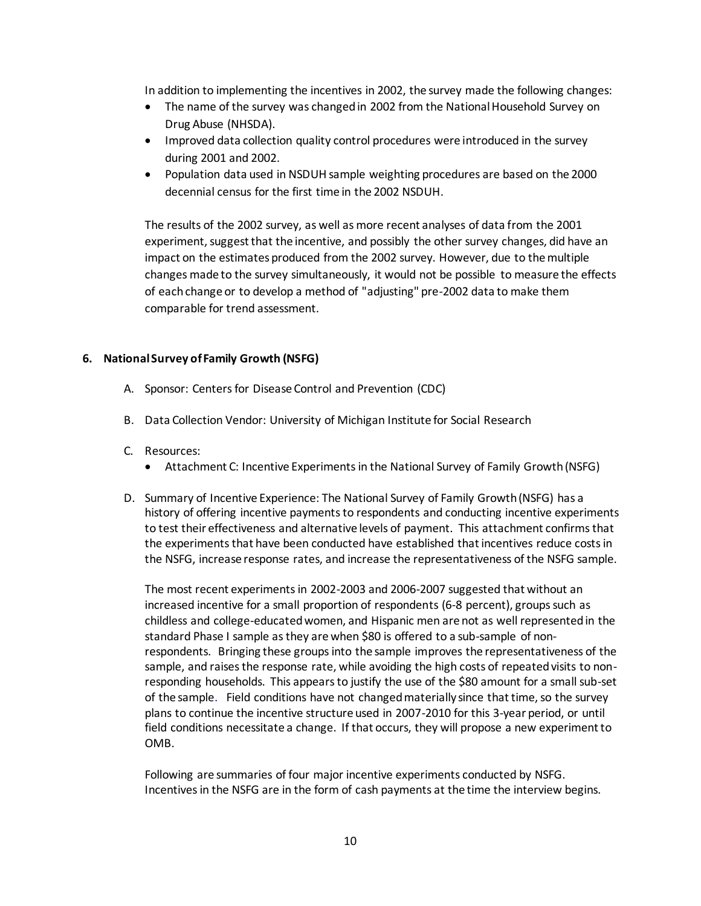In addition to implementing the incentives in 2002, the survey made the following changes:

- The name of the survey was changed in 2002 from the National Household Survey on Drug Abuse (NHSDA).
- Improved data collection quality control procedures were introduced in the survey during 2001 and 2002.
- Population data used in NSDUH sample weighting procedures are based on the 2000 decennial census for the first time in the 2002 NSDUH.

The results of the 2002 survey, as well as more recent analyses of data from the 2001 experiment, suggest that the incentive, and possibly the other survey changes, did have an impact on the estimates produced from the 2002 survey. However, due to the multiple changes made to the survey simultaneously, it would not be possible to measure the effects of each change or to develop a method of "adjusting" pre-2002 data to make them comparable for trend assessment.

### **6. National Survey of Family Growth (NSFG)**

- A. Sponsor: Centers for Disease Control and Prevention (CDC)
- B. Data Collection Vendor: University of Michigan Institute for Social Research
- C. Resources:
	- Attachment C: Incentive Experiments in the National Survey of Family Growth (NSFG)
- D. Summary of Incentive Experience: The National Survey of Family Growth (NSFG) has a history of offering incentive payments to respondents and conducting incentive experiments to test their effectiveness and alternative levels of payment. This attachment confirmsthat the experiments that have been conducted have established that incentives reduce costs in the NSFG, increase response rates, and increase the representativeness of the NSFG sample.

The most recent experiments in 2002-2003 and 2006-2007 suggested that without an increased incentive for a small proportion of respondents (6-8 percent), groups such as childless and college-educated women, and Hispanic men are not as well represented in the standard Phase I sample as they are when \$80 is offered to a sub-sample of nonrespondents. Bringing these groups into the sample improves the representativeness of the sample, and raises the response rate, while avoiding the high costs of repeated visits to nonresponding households. This appears to justify the use of the \$80 amount for a small sub-set of the sample. Field conditions have not changed materially since that time, so the survey plans to continue the incentive structure used in 2007-2010 for this 3-year period, or until field conditions necessitate a change. If that occurs, they will propose a new experiment to OMB.

Following are summaries of four major incentive experiments conducted by NSFG. Incentives in the NSFG are in the form of cash payments at the time the interview begins.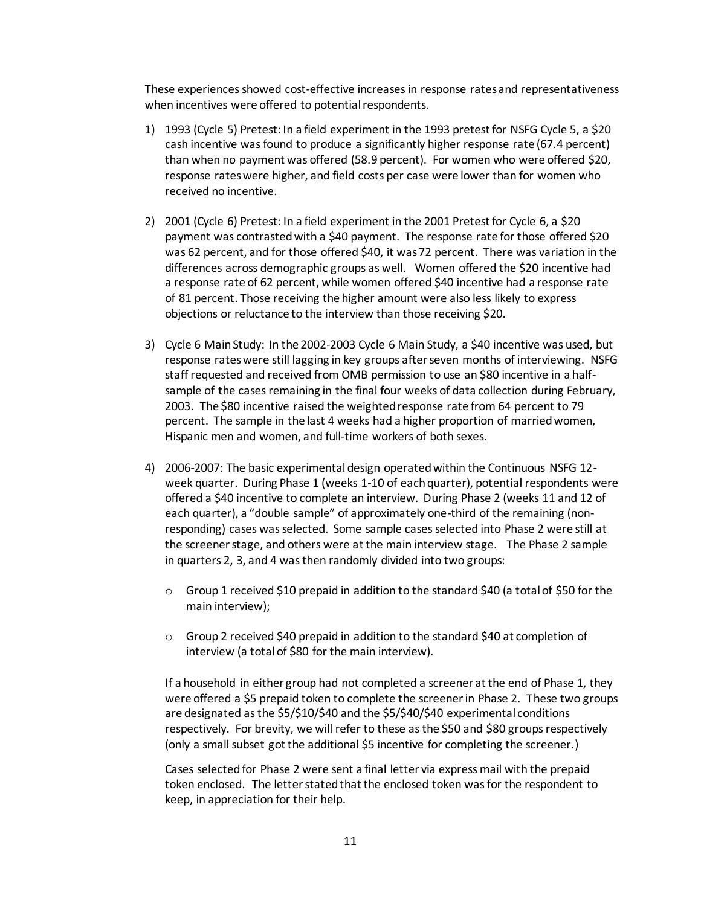These experiences showed cost-effective increases in response rates and representativeness when incentives were offered to potential respondents.

- 1) 1993 (Cycle 5) Pretest: In a field experiment in the 1993 pretest for NSFG Cycle 5, a \$20 cash incentive was found to produce a significantly higher response rate (67.4 percent) than when no payment was offered (58.9 percent). For women who were offered \$20, response rates were higher, and field costs per case were lower than for women who received no incentive.
- 2) 2001 (Cycle 6) Pretest: In a field experiment in the 2001 Pretest for Cycle 6, a \$20 payment was contrasted with a \$40 payment. The response rate for those offered \$20 was 62 percent, and for those offered \$40, it was 72 percent. There was variation in the differences across demographic groups as well. Women offered the \$20 incentive had a response rate of 62 percent, while women offered \$40 incentive had a response rate of 81 percent. Those receiving the higher amount were also less likely to express objections or reluctance to the interview than those receiving \$20.
- 3) Cycle 6 Main Study: In the 2002-2003 Cycle 6 Main Study, a \$40 incentive was used, but response rates were still lagging in key groups after seven months of interviewing. NSFG staff requested and received from OMB permission to use an \$80 incentive in a halfsample of the cases remaining in the final four weeks of data collection during February, 2003. The \$80 incentive raised the weighted response rate from 64 percent to 79 percent. The sample in the last 4 weeks had a higher proportion of married women, Hispanic men and women, and full-time workers of both sexes.
- 4) 2006-2007: The basic experimental design operated within the Continuous NSFG 12 week quarter. During Phase 1 (weeks 1-10 of each quarter), potential respondents were offered a \$40 incentive to complete an interview. During Phase 2 (weeks 11 and 12 of each quarter), a "double sample" of approximately one-third of the remaining (nonresponding) cases was selected. Some sample cases selected into Phase 2 were still at the screener stage, and others were at the main interview stage. The Phase 2 sample in quarters 2, 3, and 4 was then randomly divided into two groups:
	- $\circ$  Group 1 received \$10 prepaid in addition to the standard \$40 (a total of \$50 for the main interview);
	- o Group 2 received \$40 prepaid in addition to the standard \$40 at completion of interview (a total of \$80 for the main interview).

If a household in either group had not completed a screener at the end of Phase 1, they were offered a \$5 prepaid token to complete the screener in Phase 2. These two groups are designated as the \$5/\$10/\$40 and the \$5/\$40/\$40 experimental conditions respectively. For brevity, we will refer to these as the \$50 and \$80 groups respectively (only a small subset got the additional \$5 incentive for completing the screener.)

Cases selected for Phase 2 were sent a final letter via express mail with the prepaid token enclosed. The letter stated that the enclosed token was for the respondent to keep, in appreciation for their help.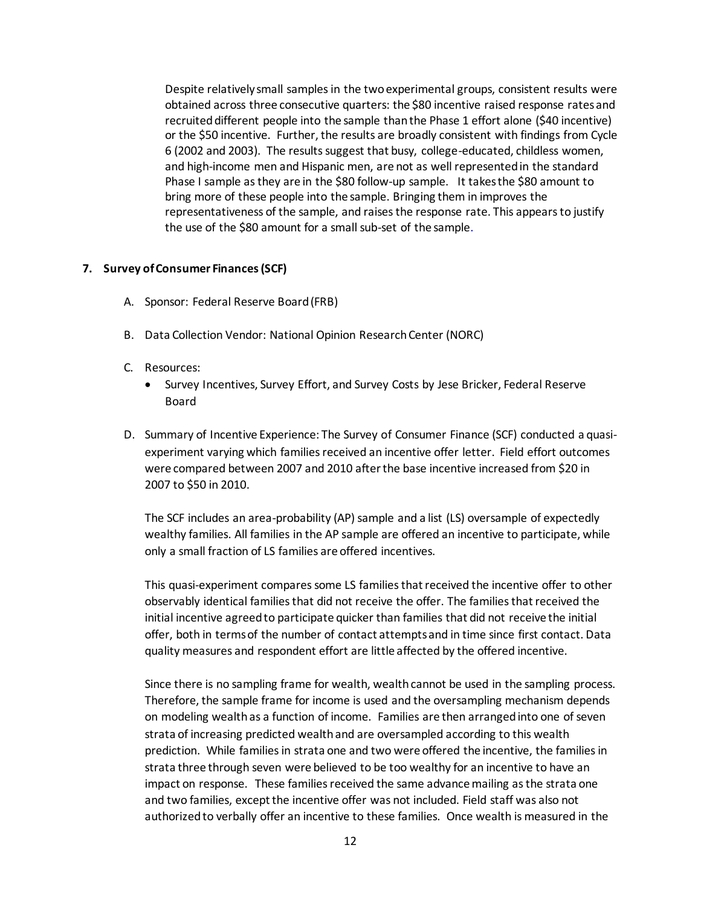Despite relatively small samples in the two experimental groups, consistent results were obtained across three consecutive quarters: the \$80 incentive raised response rates and recruited different people into the sample than the Phase 1 effort alone (\$40 incentive) or the \$50 incentive. Further, the results are broadly consistent with findings from Cycle 6 (2002 and 2003). The results suggest that busy, college-educated, childless women, and high-income men and Hispanic men, are not as well represented in the standard Phase I sample as they are in the \$80 follow-up sample. It takes the \$80 amount to bring more of these people into the sample. Bringing them in improves the representativeness of the sample, and raises the response rate. This appears to justify the use of the \$80 amount for a small sub-set of the sample.

#### **7. Survey of Consumer Finances (SCF)**

- A. Sponsor: Federal Reserve Board (FRB)
- B. Data Collection Vendor: National Opinion Research Center (NORC)
- C. Resources:
	- Survey Incentives, Survey Effort, and Survey Costs by Jese Bricker, Federal Reserve Board
- D. Summary of Incentive Experience: The Survey of Consumer Finance (SCF) conducted a quasiexperiment varying which families received an incentive offer letter. Field effort outcomes were compared between 2007 and 2010 after the base incentive increased from \$20 in 2007 to \$50 in 2010.

The SCF includes an area-probability (AP) sample and a list (LS) oversample of expectedly wealthy families. All families in the AP sample are offered an incentive to participate, while only a small fraction of LS families are offered incentives.

This quasi-experiment compares some LS families that received the incentive offer to other observably identical families that did not receive the offer. The families that received the initial incentive agreed to participate quicker than families that did not receive the initial offer, both in terms of the number of contact attempts and in time since first contact. Data quality measures and respondent effort are little affected by the offered incentive.

Since there is no sampling frame for wealth, wealth cannot be used in the sampling process. Therefore, the sample frame for income is used and the oversampling mechanism depends on modeling wealth as a function of income. Families are then arranged into one of seven strata of increasing predicted wealth and are oversampled according to this wealth prediction. While families in strata one and two were offered the incentive, the families in strata three through seven were believed to be too wealthy for an incentive to have an impact on response. These families received the same advance mailing as the strata one and two families, except the incentive offer was not included. Field staff was also not authorized to verbally offer an incentive to these families. Once wealth is measured in the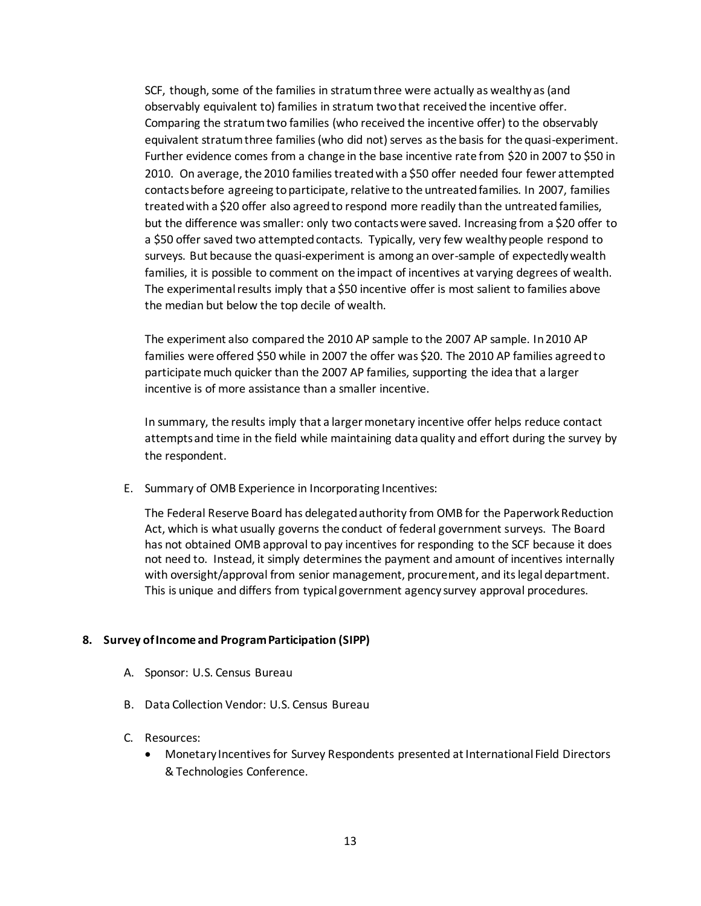SCF, though, some of the families in stratum three were actually as wealthy as (and observably equivalent to) families in stratum two that received the incentive offer. Comparing the stratum two families (who received the incentive offer) to the observably equivalent stratum three families (who did not) serves as the basis for the quasi-experiment. Further evidence comes from a change in the base incentive rate from \$20 in 2007 to \$50 in 2010. On average, the 2010 families treated with a \$50 offer needed four fewer attempted contacts before agreeing to participate, relative to the untreated families. In 2007, families treated with a \$20 offer also agreed to respond more readily than the untreated families, but the difference was smaller: only two contacts were saved. Increasing from a \$20 offer to a \$50 offer saved two attempted contacts. Typically, very few wealthy people respond to surveys. But because the quasi-experiment is among an over-sample of expectedly wealth families, it is possible to comment on the impact of incentives at varying degrees of wealth. The experimental results imply that a \$50 incentive offer is most salient to families above the median but below the top decile of wealth.

The experiment also compared the 2010 AP sample to the 2007 AP sample. In 2010 AP families were offered \$50 while in 2007 the offer was \$20. The 2010 AP families agreed to participate much quicker than the 2007 AP families, supporting the idea that a larger incentive is of more assistance than a smaller incentive.

In summary, the results imply that a larger monetary incentive offer helps reduce contact attempts and time in the field while maintaining data quality and effort during the survey by the respondent.

E. Summary of OMB Experience in Incorporating Incentives:

The Federal Reserve Board has delegated authority from OMB for the Paperwork Reduction Act, which is what usually governs the conduct of federal government surveys. The Board has not obtained OMB approval to pay incentives for responding to the SCF because it does not need to. Instead, it simply determines the payment and amount of incentives internally with oversight/approval from senior management, procurement, and its legal department. This is unique and differs from typical government agency survey approval procedures.

### **8. Survey of Income and Program Participation (SIPP)**

- A. Sponsor: U.S. Census Bureau
- B. Data Collection Vendor: U.S. Census Bureau

#### C. Resources:

 Monetary Incentives for Survey Respondents presented at International Field Directors & Technologies Conference.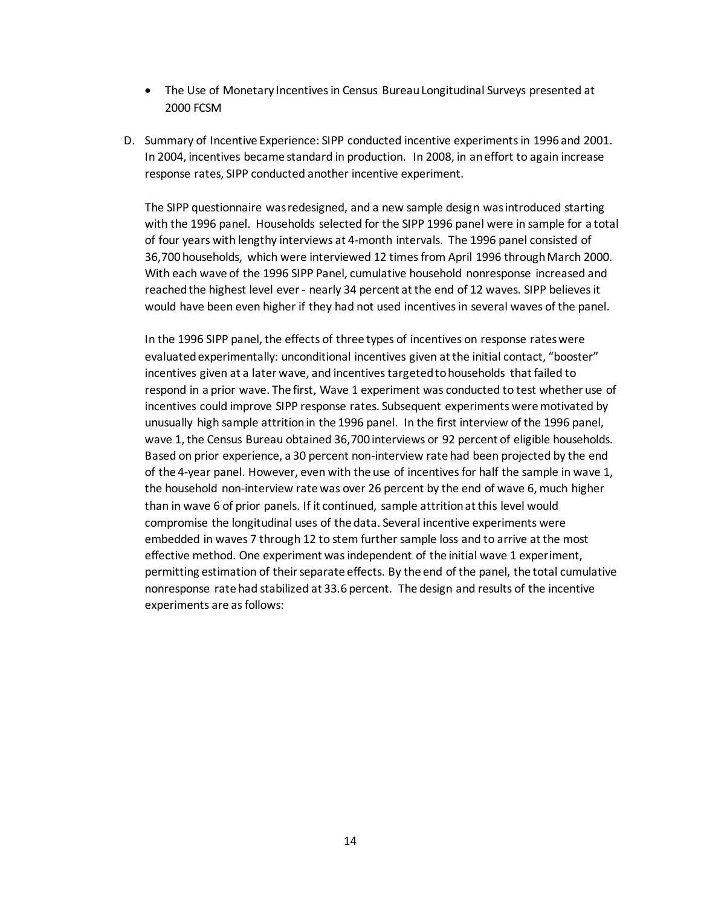- The Use of Monetary Incentives in Census Bureau Longitudinal Surveys presented at 2000 FCSM
- D. Summary of Incentive Experience: SIPP conducted incentive experiments in 1996 and 2001. In 2004, incentives became standard in production. In 2008, in an effort to again increase response rates, SIPP conducted another incentive experiment.

The SIPP questionnaire was redesigned, and a new sample design was introduced starting with the 1996 panel. Households selected for the SIPP 1996 panel were in sample for a total of four years with lengthy interviews at 4-month intervals. The 1996 panel consisted of 36,700 households, which were interviewed 12 times from April 1996 through March 2000. With each wave of the 1996 SIPP Panel, cumulative household nonresponse increased and reached the highest level ever - nearly 34 percent at the end of 12 waves. SIPP believesit would have been even higher if they had not used incentives in several waves of the panel.

In the 1996 SIPP panel, the effects of three types of incentives on response rates were evaluated experimentally: unconditional incentives given at the initial contact, "booster" incentives given at a later wave, and incentives targeted to households that failed to respond in a prior wave. The first, Wave 1 experiment was conducted to test whether use of incentives could improve SIPP response rates. Subsequent experiments were motivated by unusually high sample attrition in the 1996 panel. In the first interview of the 1996 panel, wave 1, the Census Bureau obtained 36,700 interviews or 92 percent of eligible households. Based on prior experience, a 30 percent non-interview rate had been projected by the end of the 4-year panel. However, even with the use of incentives for half the sample in wave 1, the household non-interview rate was over 26 percent by the end of wave 6, much higher than in wave 6 of prior panels. If it continued, sample attrition at this level would compromise the longitudinal uses of the data. Several incentive experiments were embedded in waves 7 through 12 to stem further sample loss and to arrive at the most effective method. One experiment was independent of the initial wave 1 experiment, permitting estimation of their separate effects. By the end of the panel, the total cumulative nonresponse rate had stabilized at 33.6 percent. The design and results of the incentive experiments are as follows: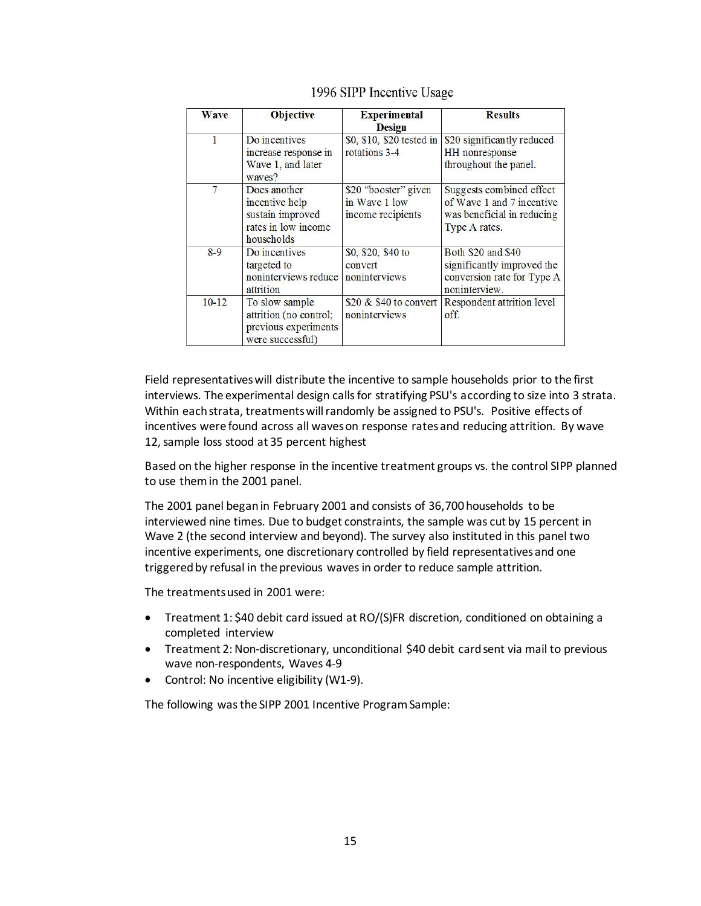| <b>Wave</b> | <b>Objective</b>                                                                        | <b>Experimental</b><br><b>Design</b>                       | <b>Results</b>                                                                                       |
|-------------|-----------------------------------------------------------------------------------------|------------------------------------------------------------|------------------------------------------------------------------------------------------------------|
| 1           | Do incentives<br>increase response in<br>Wave 1, and later<br>waves?                    | \$0, \$10, \$20 tested in<br>rotations 3-4                 | \$20 significantly reduced<br>HH nonresponse<br>throughout the panel.                                |
| 7           | Does another<br>incentive help<br>sustain improved<br>rates in low income<br>households | \$20 "booster" given<br>in Wave 1 low<br>income recipients | Suggests combined effect<br>of Wave 1 and 7 incentive<br>was beneficial in reducing<br>Type A rates. |
| $8-9$       | Do incentives<br>targeted to<br>noninterviews reduce<br>attrition                       | \$0, \$20, \$40 to<br>convert<br>noninterviews             | Both \$20 and \$40<br>significantly improved the<br>conversion rate for Type A<br>noninterview.      |
| $10-12$     | To slow sample<br>attrition (no control;<br>previous experiments<br>were successful)    | \$20 $&$ \$40 to convert<br>noninterviews                  | Respondent attrition level<br>off.                                                                   |

#### 1996 SIPP Incentive Usage

Field representatives will distribute the incentive to sample households prior to the first interviews. The experimental design calls for stratifying PSU's according to size into 3 strata. Within each strata, treatments will randomly be assigned to PSU's. Positive effects of incentives were found across all waves on response rates and reducing attrition. By wave 12, sample loss stood at 35 percent highest

Based on the higher response in the incentive treatment groups vs. the control SIPP planned to use them in the 2001 panel.

The 2001 panel began in February 2001 and consists of 36,700 households to be interviewed nine times. Due to budget constraints, the sample was cut by 15 percent in Wave 2 (the second interview and beyond). The survey also instituted in this panel two incentive experiments, one discretionary controlled by field representatives and one triggered by refusal in the previous waves in order to reduce sample attrition.

The treatments used in 2001 were:

- Treatment 1: \$40 debit card issued at RO/(S)FR discretion, conditioned on obtaining a completed interview
- Treatment 2: Non-discretionary, unconditional \$40 debit card sent via mail to previous wave non-respondents, Waves 4-9
- Control: No incentive eligibility (W1-9).

The following was the SIPP 2001 Incentive Program Sample: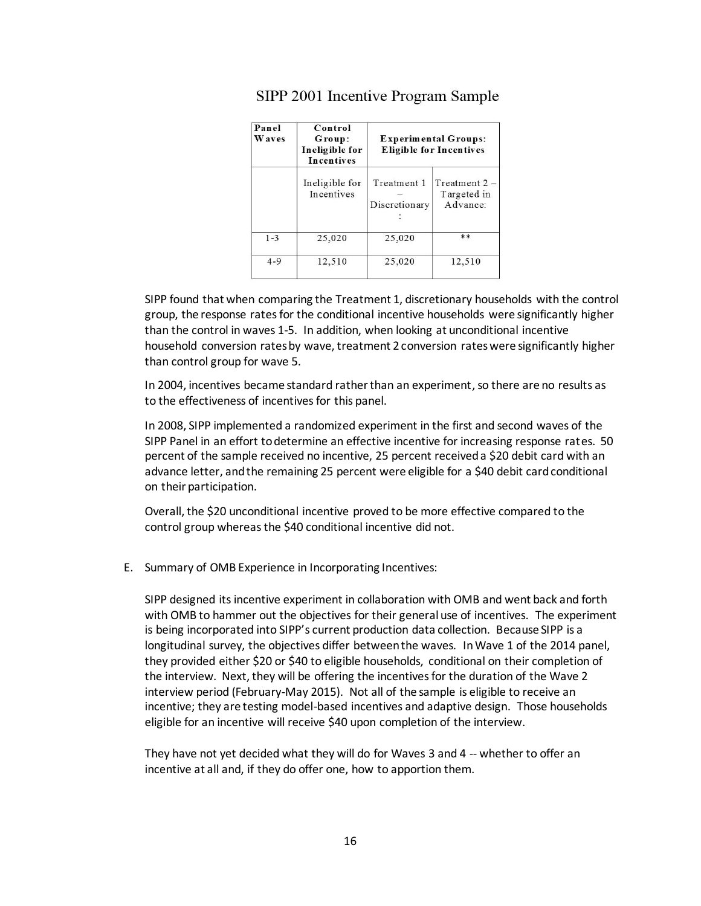| Panel<br><b>Waves</b> | Control<br>Group:<br>Ineligible for<br><b>Incentives</b> |                              | <b>Experimental Groups:</b><br><b>Eligible for Incentives</b> |
|-----------------------|----------------------------------------------------------|------------------------------|---------------------------------------------------------------|
|                       | Ineligible for<br>Incentives                             | Treatment 1<br>Discretionary | Treatment $2 -$<br>Targeted in<br>Advance:                    |
| $1 - 3$               | 25,020                                                   | 25,020                       | **                                                            |
| $4 - 9$               | 12,510                                                   | 25,020                       | 12,510                                                        |

# SIPP 2001 Incentive Program Sample

SIPP found that when comparing the Treatment 1, discretionary households with the control group, the response rates for the conditional incentive households were significantly higher than the control in waves 1-5. In addition, when looking at unconditional incentive household conversion rates by wave, treatment 2 conversion rates were significantly higher than control group for wave 5.

In 2004, incentives became standard rather than an experiment, so there are no results as to the effectiveness of incentives for this panel.

In 2008, SIPP implemented a randomized experiment in the first and second waves of the SIPP Panel in an effort to determine an effective incentive for increasing response rates. 50 percent of the sample received no incentive, 25 percent received a \$20 debit card with an advance letter, and the remaining 25 percent were eligible for a \$40 debit card conditional on their participation.

Overall, the \$20 unconditional incentive proved to be more effective compared to the control group whereas the \$40 conditional incentive did not.

E. Summary of OMB Experience in Incorporating Incentives:

SIPP designed itsincentive experiment in collaboration with OMB and went back and forth with OMB to hammer out the objectives for their general use of incentives. The experiment is being incorporated into SIPP's current production data collection. Because SIPP is a longitudinal survey, the objectives differ between the waves. In Wave 1 of the 2014 panel, they provided either \$20 or \$40 to eligible households, conditional on their completion of the interview. Next, they will be offering the incentives for the duration of the Wave 2 interview period (February-May 2015). Not all of the sample is eligible to receive an incentive; they are testing model-based incentives and adaptive design. Those households eligible for an incentive will receive \$40 upon completion of the interview.

They have not yet decided what they will do for Waves 3 and 4 -- whether to offer an incentive at all and, if they do offer one, how to apportion them.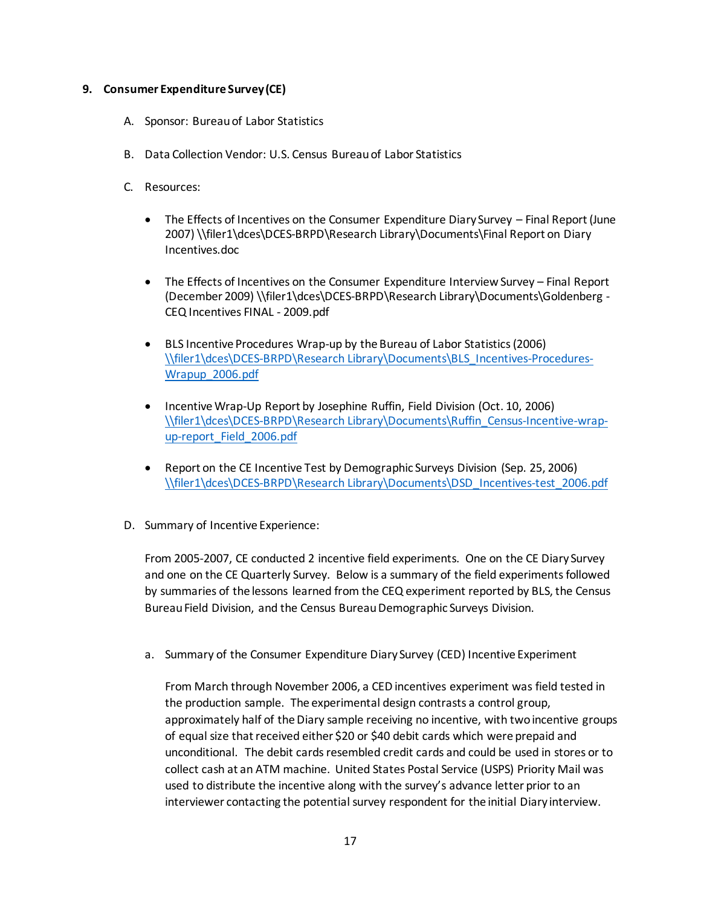### **9. Consumer Expenditure Survey (CE)**

- A. Sponsor: Bureau of Labor Statistics
- B. Data Collection Vendor: U.S. Census Bureau of Labor Statistics
- C. Resources:
	- The Effects of Incentives on the Consumer Expenditure Diary Survey Final Report (June 2007) \\filer1\dces\DCES-BRPD\Research Library\Documents\Final Report on Diary Incentives.doc
	- The Effects of Incentives on the Consumer Expenditure Interview Survey Final Report (December 2009) \\filer1\dces\DCES-BRPD\Research Library\Documents\Goldenberg - CEQ Incentives FINAL - 2009.pdf
	- BLS Incentive Procedures Wrap-up by the Bureau of Labor Statistics (2006) [\\filer1\dces\DCES-BRPD\Research Library\Documents\BLS\\_Incentives-Procedures-](file://filer1/dces/DCES-BRPD/Research%20Library/Documents/BLS_Incentives-Procedures-Wrapup_2006.pdf)[Wrapup\\_2006.pdf](file://filer1/dces/DCES-BRPD/Research%20Library/Documents/BLS_Incentives-Procedures-Wrapup_2006.pdf)
	- Incentive Wrap-Up Report by Josephine Ruffin, Field Division (Oct. 10, 2006) [\\filer1\dces\DCES-BRPD\Research Library\Documents\Ruffin\\_Census-Incentive-wrap](file://filer1/dces/DCES-BRPD/Research%20Library/Documents/Ruffin_Census-Incentive-wrap-up-report_Field_2006.pdf)[up-report\\_Field\\_2006.pdf](file://filer1/dces/DCES-BRPD/Research%20Library/Documents/Ruffin_Census-Incentive-wrap-up-report_Field_2006.pdf)
	- Report on the CE Incentive Test by Demographic Surveys Division (Sep. 25, 2006) [\\filer1\dces\DCES-BRPD\Research Library\Documents\DSD\\_Incentives-test\\_2006.pdf](file://filer1/dces/DCES-BRPD/Research%20Library/Documents/DSD_Incentives-test_2006.pdf)
- D. Summary of Incentive Experience:

From 2005-2007, CE conducted 2 incentive field experiments. One on the CE Diary Survey and one on the CE Quarterly Survey. Below is a summary of the field experiments followed by summaries of the lessons learned from the CEQ experiment reported by BLS, the Census Bureau Field Division, and the Census Bureau Demographic Surveys Division.

a. Summary of the Consumer Expenditure Diary Survey (CED) Incentive Experiment

From March through November 2006, a CED incentives experiment was field tested in the production sample. The experimental design contrasts a control group, approximately half of the Diary sample receiving no incentive, with two incentive groups of equal size that received either \$20 or \$40 debit cards which were prepaid and unconditional. The debit cards resembled credit cards and could be used in stores or to collect cash at an ATM machine. United States Postal Service (USPS) Priority Mail was used to distribute the incentive along with the survey's advance letter prior to an interviewer contacting the potential survey respondent for the initial Diary interview.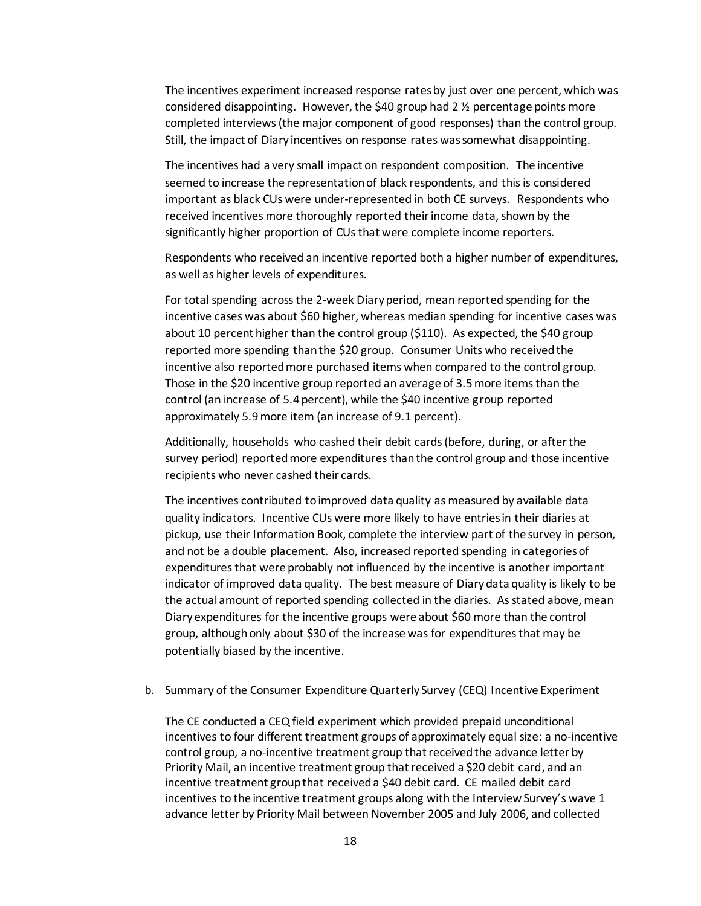The incentives experiment increased response rates by just over one percent, which was considered disappointing. However, the \$40 group had 2  $\frac{1}{2}$  percentage points more completed interviews (the major component of good responses) than the control group. Still, the impact of Diary incentives on response rates was somewhat disappointing.

The incentives had a very small impact on respondent composition. The incentive seemed to increase the representation of black respondents, and this is considered important as black CUs were under-represented in both CE surveys. Respondents who received incentives more thoroughly reported their income data, shown by the significantly higher proportion of CUs that were complete income reporters.

Respondents who received an incentive reported both a higher number of expenditures, as well as higher levels of expenditures.

For total spending across the 2-week Diaryperiod, mean reported spending for the incentive cases was about \$60 higher, whereas median spending for incentive cases was about 10 percent higher than the control group (\$110). As expected, the \$40 group reported more spending than the \$20 group. Consumer Units who received the incentive also reported more purchased items when compared to the control group. Those in the \$20 incentive group reported an average of 3.5 more items than the control (an increase of 5.4 percent), while the \$40 incentive group reported approximately 5.9 more item (an increase of 9.1 percent).

Additionally, households who cashed their debit cards (before, during, or after the survey period) reportedmore expenditures than the control group and those incentive recipients who never cashed their cards.

The incentives contributed to improved data quality as measured by available data quality indicators. Incentive CUs were more likely to have entries in their diaries at pickup, use their Information Book, complete the interview part of the survey in person, and not be a double placement. Also, increased reported spending in categories of expenditures that were probably not influenced by the incentive is another important indicator of improved data quality. The best measure of Diarydata quality is likely to be the actual amount of reported spending collected in the diaries. As stated above, mean Diaryexpenditures for the incentive groups were about \$60 more than the control group, although only about \$30 of the increase was for expenditures that may be potentially biased by the incentive.

b. Summary of the Consumer Expenditure Quarterly Survey (CEQ) Incentive Experiment

The CE conducted a CEQ field experiment which provided prepaid unconditional incentives to four different treatment groups of approximately equal size: a no-incentive control group, a no-incentive treatment group that received the advance letter by Priority Mail, an incentive treatment group that received a \$20 debit card, and an incentive treatment group that received a \$40 debit card. CE mailed debit card incentives to the incentive treatment groups along with the Interview Survey's wave 1 advance letter by Priority Mail between November 2005 and July 2006, and collected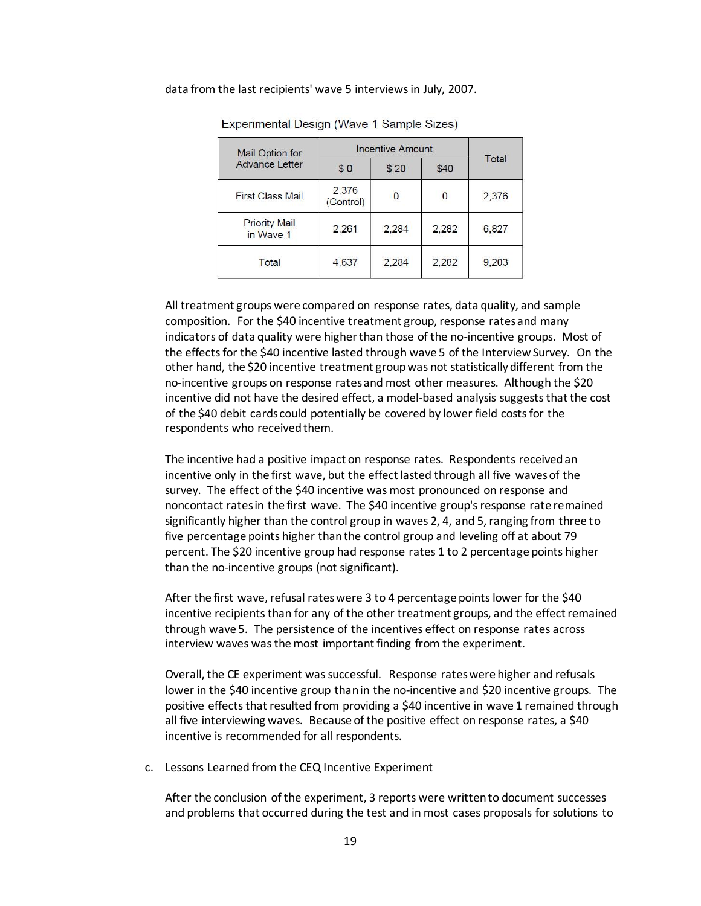#### data from the last recipients' wave 5 interviews in July, 2007.

| Mail Option for                   | <b>Incentive Amount</b> |       |       |       |
|-----------------------------------|-------------------------|-------|-------|-------|
| <b>Advance Letter</b>             | \$0                     | \$20  | \$40  | Total |
| <b>First Class Mail</b>           | 2,376<br>(Control)      | 0     | 0     | 2,376 |
| <b>Priority Mail</b><br>in Wave 1 | 2,261                   | 2,284 | 2,282 | 6,827 |
| Total                             | 4.637                   | 2.284 | 2.282 | 9,203 |

Experimental Design (Wave 1 Sample Sizes)

All treatment groups were compared on response rates, data quality, and sample composition. For the \$40 incentive treatment group, response rates and many indicators of data quality were higher than those of the no-incentive groups. Most of the effects for the \$40 incentive lasted through wave 5 of the Interview Survey. On the other hand, the \$20 incentive treatment group was not statistically different from the no-incentive groups on response rates and most other measures. Although the \$20 incentive did not have the desired effect, a model-based analysis suggests that the cost of the \$40 debit cards could potentially be covered by lower field costs for the respondents who received them.

The incentive had a positive impact on response rates. Respondents received an incentive only in the first wave, but the effect lasted through all five waves of the survey. The effect of the \$40 incentive was most pronounced on response and noncontact rates in the first wave. The \$40 incentive group's response rate remained significantly higher than the control group in waves 2, 4, and 5, ranging from three to five percentage points higher than the control group and leveling off at about 79 percent. The \$20 incentive group had response rates 1 to 2 percentage points higher than the no-incentive groups (not significant).

After the first wave, refusal rates were 3 to 4 percentage points lower for the \$40 incentive recipients than for any of the other treatment groups, and the effect remained through wave 5. The persistence of the incentives effect on response rates across interview waves was the most important finding from the experiment.

Overall, the CE experiment was successful. Response rates were higher and refusals lower in the \$40 incentive group thanin the no-incentive and \$20 incentive groups. The positive effects that resulted from providing a \$40 incentive in wave 1 remained through all five interviewing waves. Because of the positive effect on response rates, a \$40 incentive is recommended for all respondents.

c. Lessons Learned from the CEQ Incentive Experiment

After the conclusion of the experiment, 3 reports were written to document successes and problems that occurred during the test and in most cases proposals for solutions to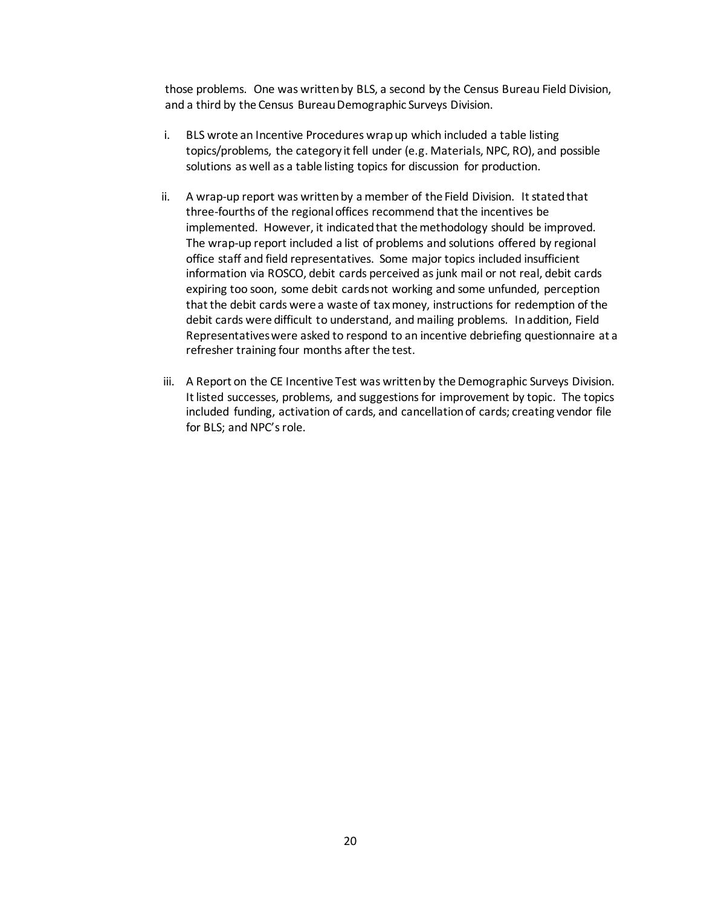those problems. One was written by BLS, a second by the Census Bureau Field Division, and a third by the Census Bureau Demographic Surveys Division.

- i. BLS wrote an Incentive Procedures wrap up which included a table listing topics/problems, the category it fell under (e.g. Materials, NPC, RO), and possible solutions as well as a table listing topics for discussion for production.
- ii. A wrap-up report was written by a member of the Field Division. It stated that three-fourths of the regional offices recommend that the incentives be implemented. However, it indicated that the methodology should be improved. The wrap-up report included a list of problems and solutions offered by regional office staff and field representatives. Some major topics included insufficient information via ROSCO, debit cards perceived as junk mail or not real, debit cards expiring too soon, some debit cards not working and some unfunded, perception that the debit cards were a waste of tax money, instructions for redemption of the debit cards were difficult to understand, and mailing problems. In addition, Field Representatives were asked to respond to an incentive debriefing questionnaire at a refresher training four months after the test.
- iii. A Report on the CE Incentive Test was written by the Demographic Surveys Division. It listed successes, problems, and suggestions for improvement by topic. The topics included funding, activation of cards, and cancellation of cards; creating vendor file for BLS; and NPC's role.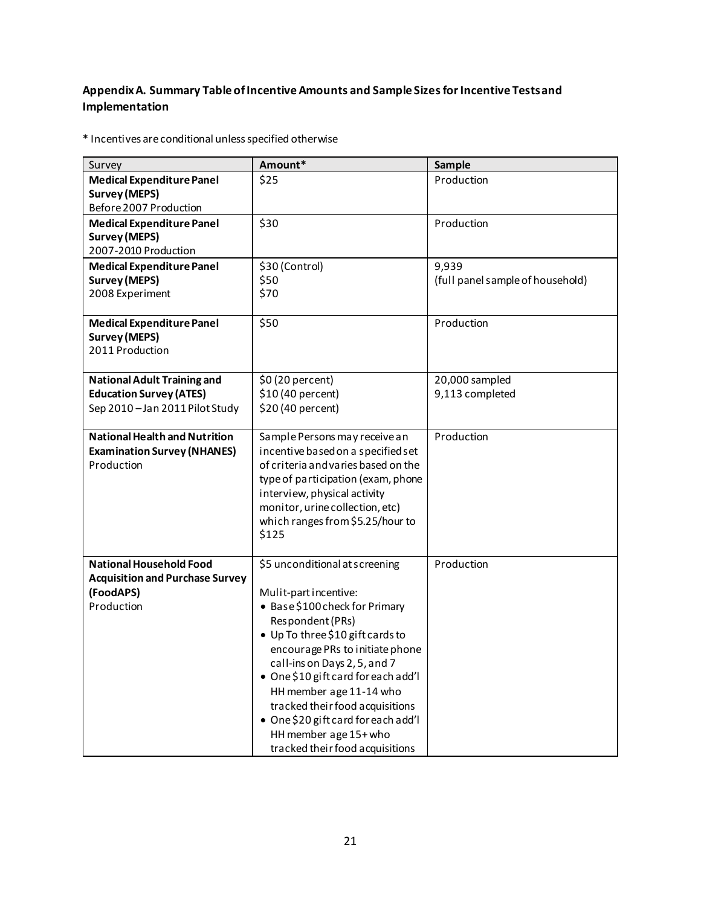# **Appendix A. Summary Table of Incentive Amounts and Sample Sizes for Incentive Tests and Implementation**

\* Incentives are conditional unless specified otherwise

| Survey                                                                                                | Amount*                                                                                                                                                                                                                                                                                                                                                                                                                     | Sample                                    |
|-------------------------------------------------------------------------------------------------------|-----------------------------------------------------------------------------------------------------------------------------------------------------------------------------------------------------------------------------------------------------------------------------------------------------------------------------------------------------------------------------------------------------------------------------|-------------------------------------------|
| <b>Medical Expenditure Panel</b><br><b>Survey (MEPS)</b><br>Before 2007 Production                    | \$25                                                                                                                                                                                                                                                                                                                                                                                                                        | Production                                |
| <b>Medical Expenditure Panel</b><br><b>Survey (MEPS)</b><br>2007-2010 Production                      | \$30                                                                                                                                                                                                                                                                                                                                                                                                                        | Production                                |
| <b>Medical Expenditure Panel</b><br><b>Survey (MEPS)</b><br>2008 Experiment                           | \$30 (Control)<br>\$50<br>\$70                                                                                                                                                                                                                                                                                                                                                                                              | 9,939<br>(full panel sample of household) |
| <b>Medical Expenditure Panel</b><br><b>Survey (MEPS)</b><br>2011 Production                           | \$50                                                                                                                                                                                                                                                                                                                                                                                                                        | Production                                |
| <b>National Adult Training and</b><br><b>Education Survey (ATES)</b><br>Sep 2010-Jan 2011 Pilot Study | \$0 (20 percent)<br>\$10 (40 percent)<br>\$20 (40 percent)                                                                                                                                                                                                                                                                                                                                                                  | 20,000 sampled<br>9,113 completed         |
| <b>National Health and Nutrition</b><br><b>Examination Survey (NHANES)</b><br>Production              | Sample Persons may receive an<br>incentive based on a specified set<br>of criteria and varies based on the<br>type of participation (exam, phone<br>interview, physical activity<br>monitor, urine collection, etc)<br>which ranges from \$5.25/hour to<br>\$125                                                                                                                                                            | Production                                |
| <b>National Household Food</b><br><b>Acquisition and Purchase Survey</b><br>(FoodAPS)<br>Production   | \$5 unconditional at screening<br>Mulit-partincentive:<br>• Base \$100 check for Primary<br>Respondent (PRs)<br>• Up To three \$10 gift cards to<br>encourage PRs to initiate phone<br>call-ins on Days 2, 5, and 7<br>• One \$10 gift card for each add'l<br>HH member age 11-14 who<br>tracked their food acquisitions<br>• One \$20 gift card for each add'l<br>HH member age 15+ who<br>tracked their food acquisitions | Production                                |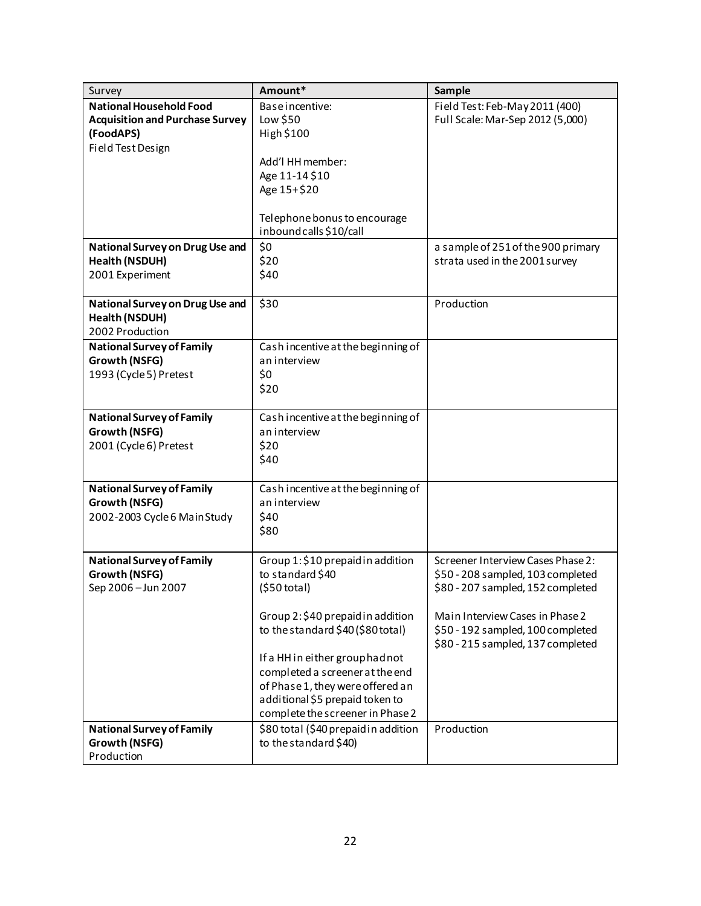| Survey                                 | Amount*                                                             | Sample                             |
|----------------------------------------|---------------------------------------------------------------------|------------------------------------|
| <b>National Household Food</b>         | Base incentive:                                                     | Field Test: Feb-May 2011 (400)     |
| <b>Acquisition and Purchase Survey</b> | Low \$50                                                            | Full Scale: Mar-Sep 2012 (5,000)   |
| (FoodAPS)                              | High \$100                                                          |                                    |
| Field Test Design                      |                                                                     |                                    |
|                                        | Add'l HH member:                                                    |                                    |
|                                        | Age 11-14 \$10                                                      |                                    |
|                                        | Age 15+\$20                                                         |                                    |
|                                        |                                                                     |                                    |
|                                        | Telephone bonus to encourage<br>inbound calls \$10/call             |                                    |
| National Survey on Drug Use and        | \$0                                                                 | a sample of 251 of the 900 primary |
| Health (NSDUH)                         | \$20                                                                | strata used in the 2001 survey     |
| 2001 Experiment                        | \$40                                                                |                                    |
|                                        |                                                                     |                                    |
| National Survey on Drug Use and        | \$30                                                                | Production                         |
| Health (NSDUH)                         |                                                                     |                                    |
| 2002 Production                        |                                                                     |                                    |
| <b>National Survey of Family</b>       | Cash incentive at the beginning of                                  |                                    |
| Growth (NSFG)                          | an interview                                                        |                                    |
| 1993 (Cycle 5) Pretest                 | \$0                                                                 |                                    |
|                                        | \$20                                                                |                                    |
|                                        |                                                                     |                                    |
| <b>National Survey of Family</b>       | Cash incentive at the beginning of                                  |                                    |
| Growth (NSFG)                          | an interview                                                        |                                    |
| 2001 (Cycle 6) Pretest                 | \$20                                                                |                                    |
|                                        | \$40                                                                |                                    |
| <b>National Survey of Family</b>       | Cash incentive at the beginning of                                  |                                    |
| Growth (NSFG)                          | an interview                                                        |                                    |
| 2002-2003 Cycle 6 Main Study           | \$40                                                                |                                    |
|                                        | \$80                                                                |                                    |
|                                        |                                                                     |                                    |
| <b>National Survey of Family</b>       | Group 1: \$10 prepaid in addition                                   | Screener Interview Cases Phase 2:  |
| Growth (NSFG)                          | to standard \$40                                                    | \$50 - 208 sampled, 103 completed  |
| Sep 2006 - Jun 2007                    | $(550 \text{ total})$                                               | \$80 - 207 sampled, 152 completed  |
|                                        |                                                                     |                                    |
|                                        | Group 2: \$40 prepaid in addition                                   | Main Interview Cases in Phase 2    |
|                                        | to the standard \$40 (\$80 total)                                   | \$50 - 192 sampled, 100 completed  |
|                                        |                                                                     | \$80 - 215 sampled, 137 completed  |
|                                        | If a HH in either group had not                                     |                                    |
|                                        | completed a screener at the end<br>of Phase 1, they were offered an |                                    |
|                                        | additional \$5 prepaid token to                                     |                                    |
|                                        | complete the screener in Phase 2                                    |                                    |
| <b>National Survey of Family</b>       | \$80 total (\$40 prepaid in addition                                | Production                         |
| Growth (NSFG)                          | to the standard \$40)                                               |                                    |
| Production                             |                                                                     |                                    |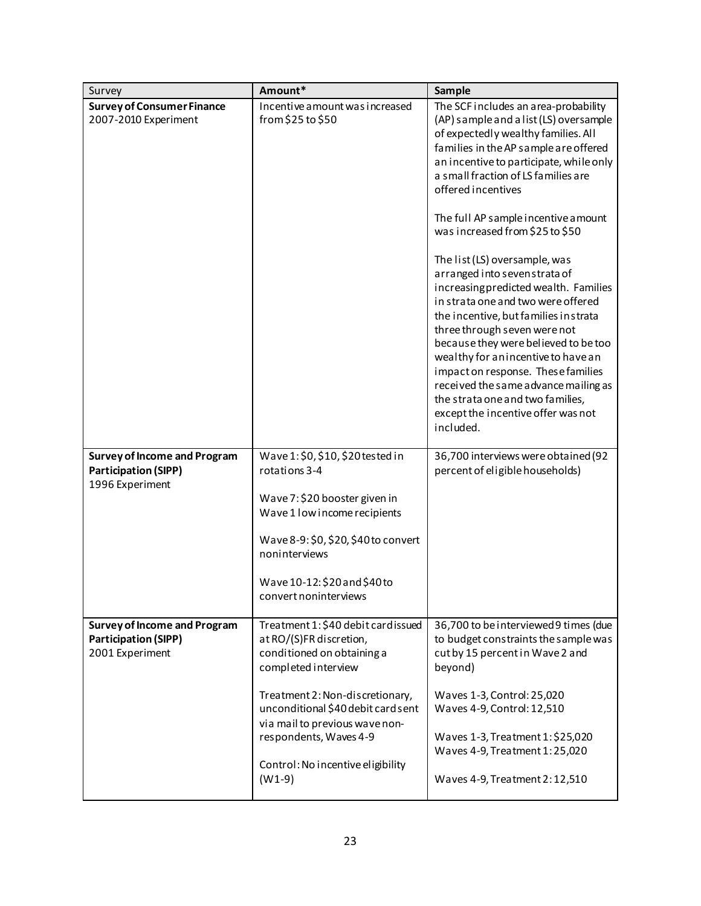| Survey                                                                                | Amount*                                                                                                                                                                                                                                                                                                   | Sample                                                                                                                                                                                                                                                                                                                                                                                                                                                                                                                                                                                                                                                                                                                                                                                                                         |
|---------------------------------------------------------------------------------------|-----------------------------------------------------------------------------------------------------------------------------------------------------------------------------------------------------------------------------------------------------------------------------------------------------------|--------------------------------------------------------------------------------------------------------------------------------------------------------------------------------------------------------------------------------------------------------------------------------------------------------------------------------------------------------------------------------------------------------------------------------------------------------------------------------------------------------------------------------------------------------------------------------------------------------------------------------------------------------------------------------------------------------------------------------------------------------------------------------------------------------------------------------|
| <b>Survey of Consumer Finance</b><br>2007-2010 Experiment                             | Incentive amount was increased<br>from \$25 to \$50                                                                                                                                                                                                                                                       | The SCF includes an area-probability<br>(AP) sample and a list (LS) oversample<br>of expectedly wealthy families. All<br>families in the AP sample are offered<br>an incentive to participate, while only<br>a small fraction of LS families are<br>offered incentives<br>The full AP sample incentive amount<br>was increased from \$25 to \$50<br>The list (LS) oversample, was<br>arranged into seven strata of<br>increasing predicted wealth. Families<br>in strata one and two were offered<br>the incentive, but families in strata<br>three through seven were not<br>because they were believed to be too<br>wealthy for an incentive to have an<br>impact on response. These families<br>received the same advance mailing as<br>the strata one and two families,<br>except the incentive offer was not<br>included. |
| <b>Survey of Income and Program</b><br><b>Participation (SIPP)</b><br>1996 Experiment | Wave 1: \$0, \$10, \$20 tested in<br>rotations 3-4<br>Wave 7: \$20 booster given in<br>Wave 1 low income recipients<br>Wave 8-9: \$0, \$20, \$40 to convert<br>noninterviews<br>Wave 10-12: \$20 and \$40 to<br>convert noninterviews                                                                     | 36,700 interviews were obtained (92<br>percent of eligible households)                                                                                                                                                                                                                                                                                                                                                                                                                                                                                                                                                                                                                                                                                                                                                         |
| <b>Survey of Income and Program</b><br><b>Participation (SIPP)</b><br>2001 Experiment | Treatment 1: \$40 debit card issued<br>at RO/(S)FR discretion,<br>conditioned on obtaining a<br>completed interview<br>Treatment 2: Non-discretionary,<br>unconditional \$40 debit card sent<br>via mail to previous wave non-<br>respondents, Waves 4-9<br>Control: No incentive eligibility<br>$(W1-9)$ | 36,700 to be interviewed 9 times (due<br>to budget constraints the sample was<br>cut by 15 percent in Wave 2 and<br>beyond)<br>Waves 1-3, Control: 25,020<br>Waves 4-9, Control: 12,510<br>Waves 1-3, Treatment 1: \$25,020<br>Waves 4-9, Treatment 1:25,020<br>Waves 4-9, Treatment 2:12,510                                                                                                                                                                                                                                                                                                                                                                                                                                                                                                                                  |